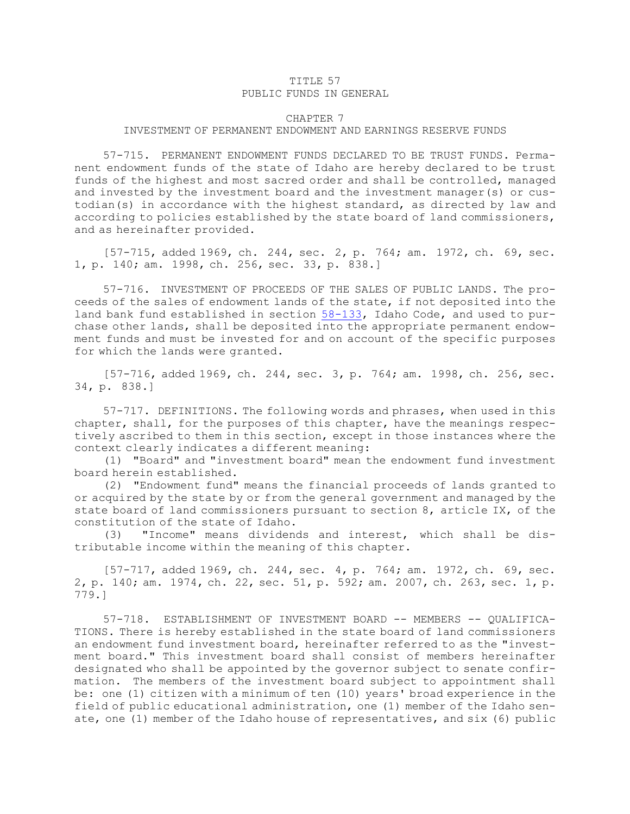## TITLE 57 PUBLIC FUNDS IN GENERAL

## CHAPTER 7 INVESTMENT OF PERMANENT ENDOWMENT AND EARNINGS RESERVE FUNDS

57-715. PERMANENT ENDOWMENT FUNDS DECLARED TO BE TRUST FUNDS. Permanent endowment funds of the state of Idaho are hereby declared to be trust funds of the highest and most sacred order and shall be controlled, managed and invested by the investment board and the investment manager(s) or custodian(s) in accordance with the highest standard, as directed by law and according to policies established by the state board of land commissioners, and as hereinafter provided.

[57-715, added 1969, ch. 244, sec. 2, p. 764; am. 1972, ch. 69, sec. 1, p. 140; am. 1998, ch. 256, sec. 33, p. 838.]

57-716. INVESTMENT OF PROCEEDS OF THE SALES OF PUBLIC LANDS. The proceeds of the sales of endowment lands of the state, if not deposited into the land bank fund established in section  $58-133$ , Idaho Code, and used to purchase other lands, shall be deposited into the appropriate permanent endowment funds and must be invested for and on account of the specific purposes for which the lands were granted.

[57-716, added 1969, ch. 244, sec. 3, p. 764; am. 1998, ch. 256, sec. 34, p. 838.]

57-717. DEFINITIONS. The following words and phrases, when used in this chapter, shall, for the purposes of this chapter, have the meanings respectively ascribed to them in this section, except in those instances where the context clearly indicates <sup>a</sup> different meaning:

(1) "Board" and "investment board" mean the endowment fund investment board herein established.

(2) "Endowment fund" means the financial proceeds of lands granted to or acquired by the state by or from the general government and managed by the state board of land commissioners pursuant to section 8, article IX, of the constitution of the state of Idaho.

(3) "Income" means dividends and interest, which shall be distributable income within the meaning of this chapter.

[57-717, added 1969, ch. 244, sec. 4, p. 764; am. 1972, ch. 69, sec. 2, p. 140; am. 1974, ch. 22, sec. 51, p. 592; am. 2007, ch. 263, sec. 1, p. 779.]

57-718. ESTABLISHMENT OF INVESTMENT BOARD -- MEMBERS -- QUALIFICA-TIONS. There is hereby established in the state board of land commissioners an endowment fund investment board, hereinafter referred to as the "investment board." This investment board shall consist of members hereinafter designated who shall be appointed by the governor subject to senate confirmation. The members of the investment board subject to appointment shall be: one (1) citizen with <sup>a</sup> minimum of ten (10) years' broad experience in the field of public educational administration, one (1) member of the Idaho senate, one (1) member of the Idaho house of representatives, and six (6) public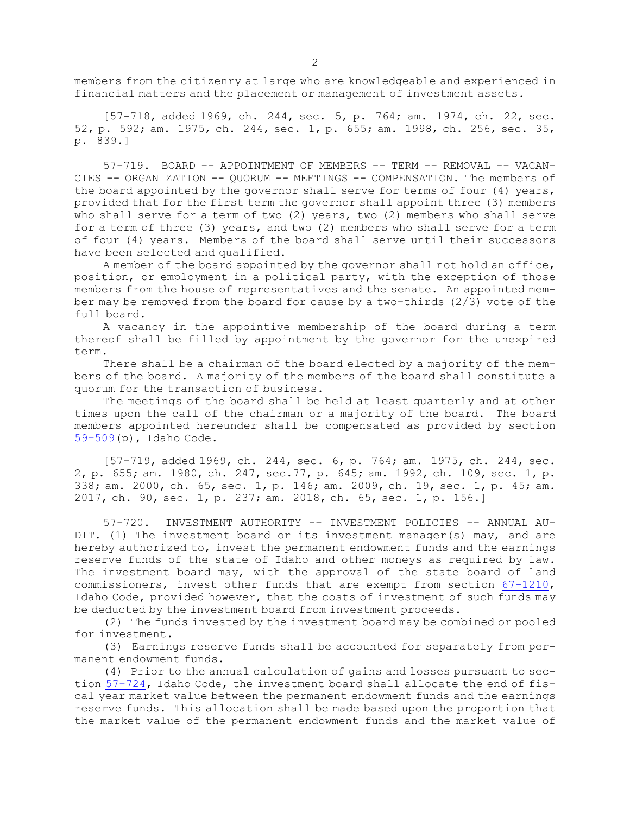members from the citizenry at large who are knowledgeable and experienced in financial matters and the placement or management of investment assets.

[57-718, added 1969, ch. 244, sec. 5, p. 764; am. 1974, ch. 22, sec. 52, p. 592; am. 1975, ch. 244, sec. 1, p. 655; am. 1998, ch. 256, sec. 35, p. 839.]

57-719. BOARD -- APPOINTMENT OF MEMBERS -- TERM -- REMOVAL -- VACAN-CIES -- ORGANIZATION -- QUORUM -- MEETINGS -- COMPENSATION. The members of the board appointed by the governor shall serve for terms of four (4) years, provided that for the first term the governor shall appoint three (3) members who shall serve for <sup>a</sup> term of two (2) years, two (2) members who shall serve for <sup>a</sup> term of three (3) years, and two (2) members who shall serve for <sup>a</sup> term of four (4) years. Members of the board shall serve until their successors have been selected and qualified.

<sup>A</sup> member of the board appointed by the governor shall not hold an office, position, or employment in <sup>a</sup> political party, with the exception of those members from the house of representatives and the senate. An appointed member may be removed from the board for cause by <sup>a</sup> two-thirds (2/3) vote of the full board.

<sup>A</sup> vacancy in the appointive membership of the board during <sup>a</sup> term thereof shall be filled by appointment by the governor for the unexpired term.

There shall be <sup>a</sup> chairman of the board elected by <sup>a</sup> majority of the members of the board. <sup>A</sup> majority of the members of the board shall constitute <sup>a</sup> quorum for the transaction of business.

The meetings of the board shall be held at least quarterly and at other times upon the call of the chairman or <sup>a</sup> majority of the board. The board members appointed hereunder shall be compensated as provided by section [59-509](https://legislature.idaho.gov/statutesrules/idstat/Title59/T59CH5/SECT59-509)(p), Idaho Code.

[57-719, added 1969, ch. 244, sec. 6, p. 764; am. 1975, ch. 244, sec. 2, p. 655; am. 1980, ch. 247, sec.77, p. 645; am. 1992, ch. 109, sec. 1, p. 338; am. 2000, ch. 65, sec. 1, p. 146; am. 2009, ch. 19, sec. 1, p. 45; am. 2017, ch. 90, sec. 1, p. 237; am. 2018, ch. 65, sec. 1, p. 156.]

57-720. INVESTMENT AUTHORITY -- INVESTMENT POLICIES -- ANNUAL AU-DIT. (1) The investment board or its investment manager(s) may, and are hereby authorized to, invest the permanent endowment funds and the earnings reserve funds of the state of Idaho and other moneys as required by law. The investment board may, with the approval of the state board of land commissioners, invest other funds that are exempt from section [67-1210](https://legislature.idaho.gov/statutesrules/idstat/Title67/T67CH12/SECT67-1210), Idaho Code, provided however, that the costs of investment of such funds may be deducted by the investment board from investment proceeds.

(2) The funds invested by the investment board may be combined or pooled for investment.

(3) Earnings reserve funds shall be accounted for separately from permanent endowment funds.

(4) Prior to the annual calculation of gains and losses pursuant to section [57-724](https://legislature.idaho.gov/statutesrules/idstat/Title57/T57CH7/SECT57-724), Idaho Code, the investment board shall allocate the end of fiscal year market value between the permanent endowment funds and the earnings reserve funds. This allocation shall be made based upon the proportion that the market value of the permanent endowment funds and the market value of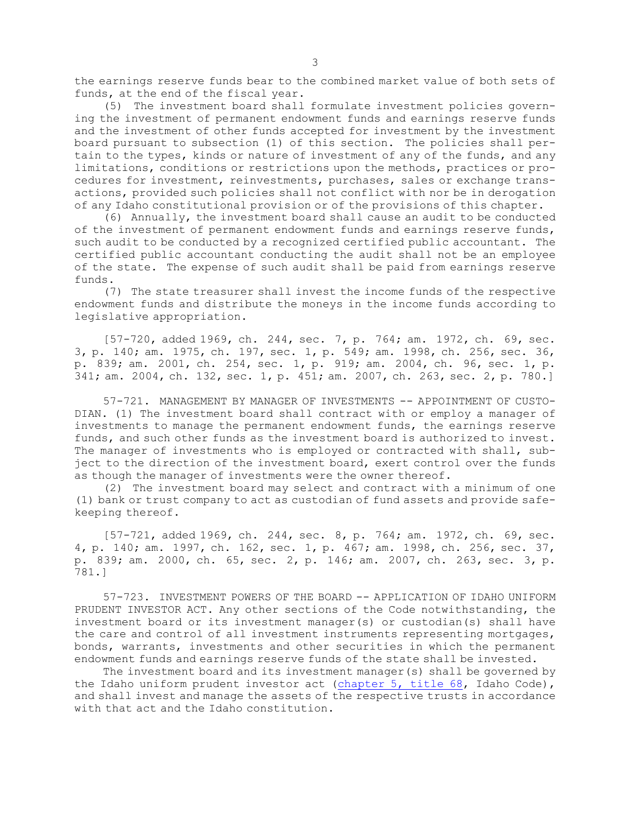the earnings reserve funds bear to the combined market value of both sets of funds, at the end of the fiscal year.

(5) The investment board shall formulate investment policies governing the investment of permanent endowment funds and earnings reserve funds and the investment of other funds accepted for investment by the investment board pursuant to subsection (1) of this section. The policies shall pertain to the types, kinds or nature of investment of any of the funds, and any limitations, conditions or restrictions upon the methods, practices or procedures for investment, reinvestments, purchases, sales or exchange transactions, provided such policies shall not conflict with nor be in derogation of any Idaho constitutional provision or of the provisions of this chapter.

(6) Annually, the investment board shall cause an audit to be conducted of the investment of permanent endowment funds and earnings reserve funds, such audit to be conducted by <sup>a</sup> recognized certified public accountant. The certified public accountant conducting the audit shall not be an employee of the state. The expense of such audit shall be paid from earnings reserve funds.

(7) The state treasurer shall invest the income funds of the respective endowment funds and distribute the moneys in the income funds according to legislative appropriation.

[57-720, added 1969, ch. 244, sec. 7, p. 764; am. 1972, ch. 69, sec. 3, p. 140; am. 1975, ch. 197, sec. 1, p. 549; am. 1998, ch. 256, sec. 36, p. 839; am. 2001, ch. 254, sec. 1, p. 919; am. 2004, ch. 96, sec. 1, p. 341; am. 2004, ch. 132, sec. 1, p. 451; am. 2007, ch. 263, sec. 2, p. 780.]

57-721. MANAGEMENT BY MANAGER OF INVESTMENTS -- APPOINTMENT OF CUSTO-DIAN. (1) The investment board shall contract with or employ <sup>a</sup> manager of investments to manage the permanent endowment funds, the earnings reserve funds, and such other funds as the investment board is authorized to invest. The manager of investments who is employed or contracted with shall, subject to the direction of the investment board, exert control over the funds as though the manager of investments were the owner thereof.

(2) The investment board may select and contract with <sup>a</sup> minimum of one (1) bank or trust company to act as custodian of fund assets and provide safekeeping thereof.

[57-721, added 1969, ch. 244, sec. 8, p. 764; am. 1972, ch. 69, sec. 4, p. 140; am. 1997, ch. 162, sec. 1, p. 467; am. 1998, ch. 256, sec. 37, p. 839; am. 2000, ch. 65, sec. 2, p. 146; am. 2007, ch. 263, sec. 3, p. 781.]

57-723. INVESTMENT POWERS OF THE BOARD -- APPLICATION OF IDAHO UNIFORM PRUDENT INVESTOR ACT. Any other sections of the Code notwithstanding, the investment board or its investment manager(s) or custodian(s) shall have the care and control of all investment instruments representing mortgages, bonds, warrants, investments and other securities in which the permanent endowment funds and earnings reserve funds of the state shall be invested.

The investment board and its investment manager(s) shall be governed by the Idaho uniform prudent investor act ([chapter](https://legislature.idaho.gov/statutesrules/idstat/Title68/T68CH5) 5, title 68, Idaho Code), and shall invest and manage the assets of the respective trusts in accordance with that act and the Idaho constitution.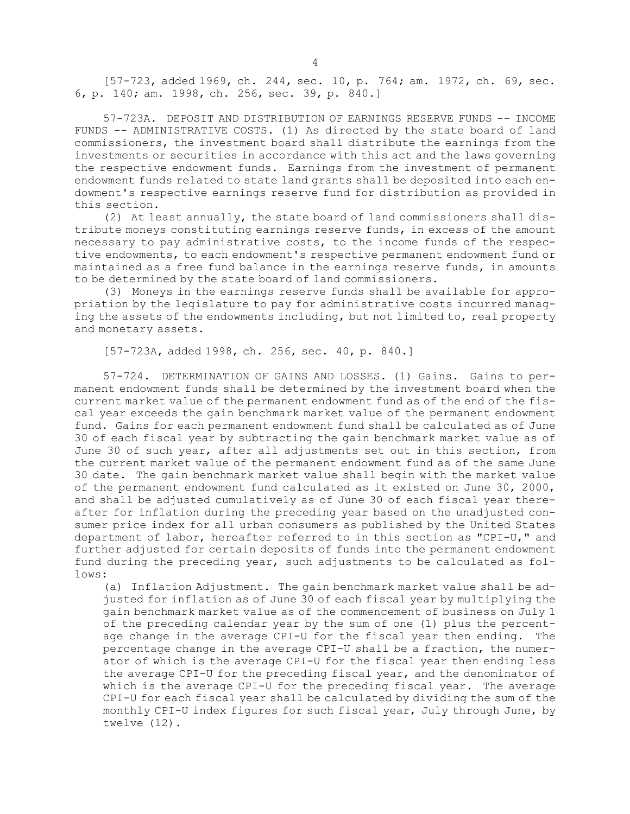[57-723, added 1969, ch. 244, sec. 10, p. 764; am. 1972, ch. 69, sec. 6, p. 140; am. 1998, ch. 256, sec. 39, p. 840.]

57-723A. DEPOSIT AND DISTRIBUTION OF EARNINGS RESERVE FUNDS -- INCOME FUNDS -- ADMINISTRATIVE COSTS. (1) As directed by the state board of land commissioners, the investment board shall distribute the earnings from the investments or securities in accordance with this act and the laws governing the respective endowment funds. Earnings from the investment of permanent endowment funds related to state land grants shall be deposited into each endowment's respective earnings reserve fund for distribution as provided in this section.

(2) At least annually, the state board of land commissioners shall distribute moneys constituting earnings reserve funds, in excess of the amount necessary to pay administrative costs, to the income funds of the respective endowments, to each endowment's respective permanent endowment fund or maintained as <sup>a</sup> free fund balance in the earnings reserve funds, in amounts to be determined by the state board of land commissioners.

(3) Moneys in the earnings reserve funds shall be available for appropriation by the legislature to pay for administrative costs incurred managing the assets of the endowments including, but not limited to, real property and monetary assets.

[57-723A, added 1998, ch. 256, sec. 40, p. 840.]

57-724. DETERMINATION OF GAINS AND LOSSES. (1) Gains. Gains to permanent endowment funds shall be determined by the investment board when the current market value of the permanent endowment fund as of the end of the fiscal year exceeds the gain benchmark market value of the permanent endowment fund. Gains for each permanent endowment fund shall be calculated as of June 30 of each fiscal year by subtracting the gain benchmark market value as of June 30 of such year, after all adjustments set out in this section, from the current market value of the permanent endowment fund as of the same June 30 date. The gain benchmark market value shall begin with the market value of the permanent endowment fund calculated as it existed on June 30, 2000, and shall be adjusted cumulatively as of June 30 of each fiscal year thereafter for inflation during the preceding year based on the unadjusted consumer price index for all urban consumers as published by the United States department of labor, hereafter referred to in this section as "CPI-U," and further adjusted for certain deposits of funds into the permanent endowment fund during the preceding year, such adjustments to be calculated as follows:

(a) Inflation Adjustment. The gain benchmark market value shall be adjusted for inflation as of June 30 of each fiscal year by multiplying the gain benchmark market value as of the commencement of business on July 1 of the preceding calendar year by the sum of one (1) plus the percentage change in the average CPI-U for the fiscal year then ending. The percentage change in the average CPI-U shall be <sup>a</sup> fraction, the numerator of which is the average CPI-U for the fiscal year then ending less the average CPI-U for the preceding fiscal year, and the denominator of which is the average CPI-U for the preceding fiscal year. The average CPI-U for each fiscal year shall be calculated by dividing the sum of the monthly CPI-U index figures for such fiscal year, July through June, by twelve (12).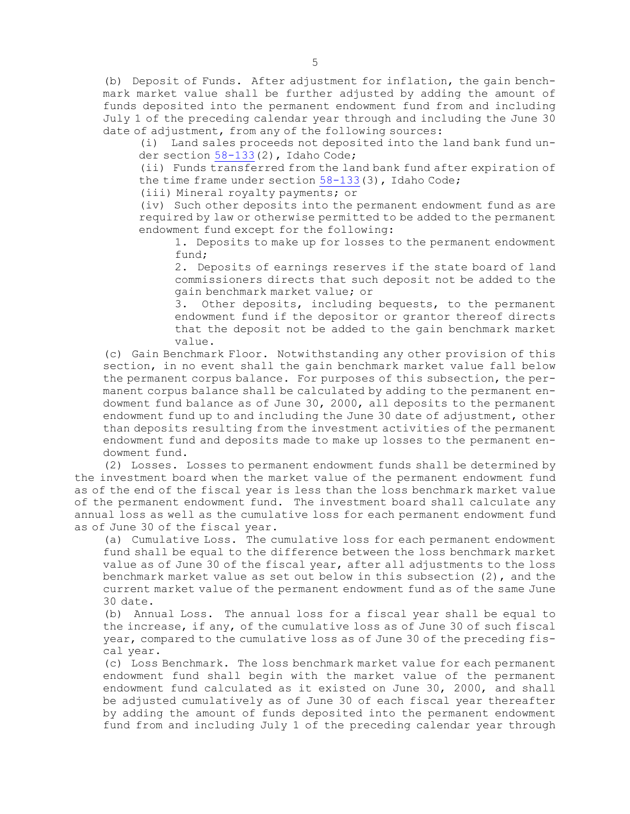(b) Deposit of Funds. After adjustment for inflation, the gain benchmark market value shall be further adjusted by adding the amount of funds deposited into the permanent endowment fund from and including July 1 of the preceding calendar year through and including the June 30 date of adjustment, from any of the following sources:

(i) Land sales proceeds not deposited into the land bank fund un-der section [58-133](https://legislature.idaho.gov/statutesrules/idstat/Title58/T58CH1/SECT58-133)(2), Idaho Code;

(ii) Funds transferred from the land bank fund after expiration of the time frame under section  $58-133(3)$  $58-133(3)$ , Idaho Code;

(iii) Mineral royalty payments; or

(iv) Such other deposits into the permanent endowment fund as are required by law or otherwise permitted to be added to the permanent endowment fund except for the following:

1. Deposits to make up for losses to the permanent endowment fund;

2. Deposits of earnings reserves if the state board of land commissioners directs that such deposit not be added to the gain benchmark market value; or

3. Other deposits, including bequests, to the permanent endowment fund if the depositor or grantor thereof directs that the deposit not be added to the gain benchmark market value.

(c) Gain Benchmark Floor. Notwithstanding any other provision of this section, in no event shall the gain benchmark market value fall below the permanent corpus balance. For purposes of this subsection, the permanent corpus balance shall be calculated by adding to the permanent endowment fund balance as of June 30, 2000, all deposits to the permanent endowment fund up to and including the June 30 date of adjustment, other than deposits resulting from the investment activities of the permanent endowment fund and deposits made to make up losses to the permanent endowment fund.

(2) Losses. Losses to permanent endowment funds shall be determined by the investment board when the market value of the permanent endowment fund as of the end of the fiscal year is less than the loss benchmark market value of the permanent endowment fund. The investment board shall calculate any annual loss as well as the cumulative loss for each permanent endowment fund as of June 30 of the fiscal year.

(a) Cumulative Loss. The cumulative loss for each permanent endowment fund shall be equal to the difference between the loss benchmark market value as of June 30 of the fiscal year, after all adjustments to the loss benchmark market value as set out below in this subsection (2), and the current market value of the permanent endowment fund as of the same June 30 date.

(b) Annual Loss. The annual loss for <sup>a</sup> fiscal year shall be equal to the increase, if any, of the cumulative loss as of June 30 of such fiscal year, compared to the cumulative loss as of June 30 of the preceding fiscal year.

(c) Loss Benchmark. The loss benchmark market value for each permanent endowment fund shall begin with the market value of the permanent endowment fund calculated as it existed on June 30, 2000, and shall be adjusted cumulatively as of June 30 of each fiscal year thereafter by adding the amount of funds deposited into the permanent endowment fund from and including July 1 of the preceding calendar year through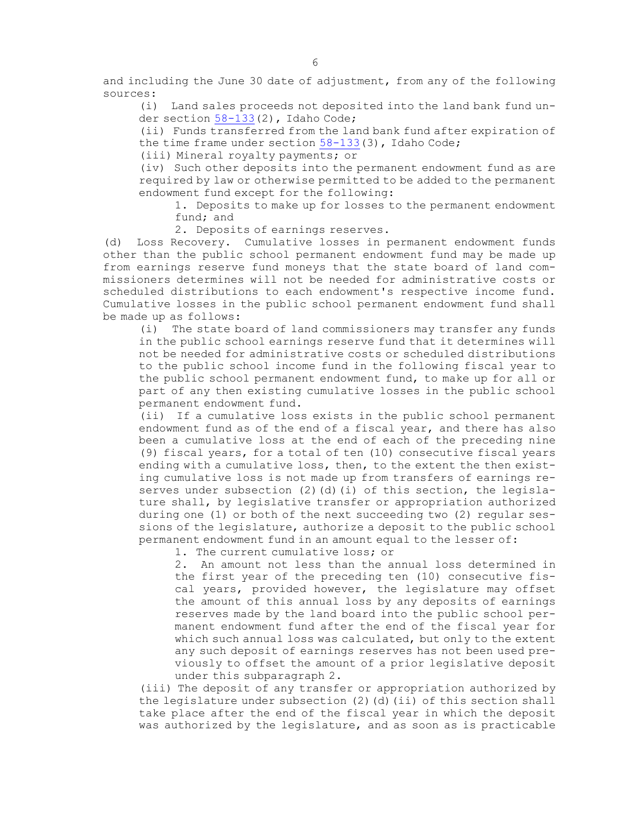and including the June 30 date of adjustment, from any of the following sources:

(i) Land sales proceeds not deposited into the land bank fund under section [58-133](https://legislature.idaho.gov/statutesrules/idstat/Title58/T58CH1/SECT58-133)(2), Idaho Code;

(ii) Funds transferred from the land bank fund after expiration of the time frame under section [58-133](https://legislature.idaho.gov/statutesrules/idstat/Title58/T58CH1/SECT58-133)(3), Idaho Code;

(iii) Mineral royalty payments; or

(iv) Such other deposits into the permanent endowment fund as are required by law or otherwise permitted to be added to the permanent endowment fund except for the following:

1. Deposits to make up for losses to the permanent endowment fund; and

2. Deposits of earnings reserves.

(d) Loss Recovery. Cumulative losses in permanent endowment funds other than the public school permanent endowment fund may be made up from earnings reserve fund moneys that the state board of land commissioners determines will not be needed for administrative costs or scheduled distributions to each endowment's respective income fund. Cumulative losses in the public school permanent endowment fund shall be made up as follows:

(i) The state board of land commissioners may transfer any funds in the public school earnings reserve fund that it determines will not be needed for administrative costs or scheduled distributions to the public school income fund in the following fiscal year to the public school permanent endowment fund, to make up for all or part of any then existing cumulative losses in the public school permanent endowment fund.

(ii) If <sup>a</sup> cumulative loss exists in the public school permanent endowment fund as of the end of <sup>a</sup> fiscal year, and there has also been <sup>a</sup> cumulative loss at the end of each of the preceding nine (9) fiscal years, for <sup>a</sup> total of ten (10) consecutive fiscal years ending with <sup>a</sup> cumulative loss, then, to the extent the then existing cumulative loss is not made up from transfers of earnings reserves under subsection (2)(d)(i) of this section, the legislature shall, by legislative transfer or appropriation authorized during one (1) or both of the next succeeding two (2) regular sessions of the legislature, authorize <sup>a</sup> deposit to the public school permanent endowment fund in an amount equal to the lesser of:

1. The current cumulative loss; or

2. An amount not less than the annual loss determined in the first year of the preceding ten (10) consecutive fiscal years, provided however, the legislature may offset the amount of this annual loss by any deposits of earnings reserves made by the land board into the public school permanent endowment fund after the end of the fiscal year for which such annual loss was calculated, but only to the extent any such deposit of earnings reserves has not been used previously to offset the amount of <sup>a</sup> prior legislative deposit under this subparagraph 2.

(iii) The deposit of any transfer or appropriation authorized by the legislature under subsection  $(2)$   $(d)$   $(ii)$  of this section shall take place after the end of the fiscal year in which the deposit was authorized by the legislature, and as soon as is practicable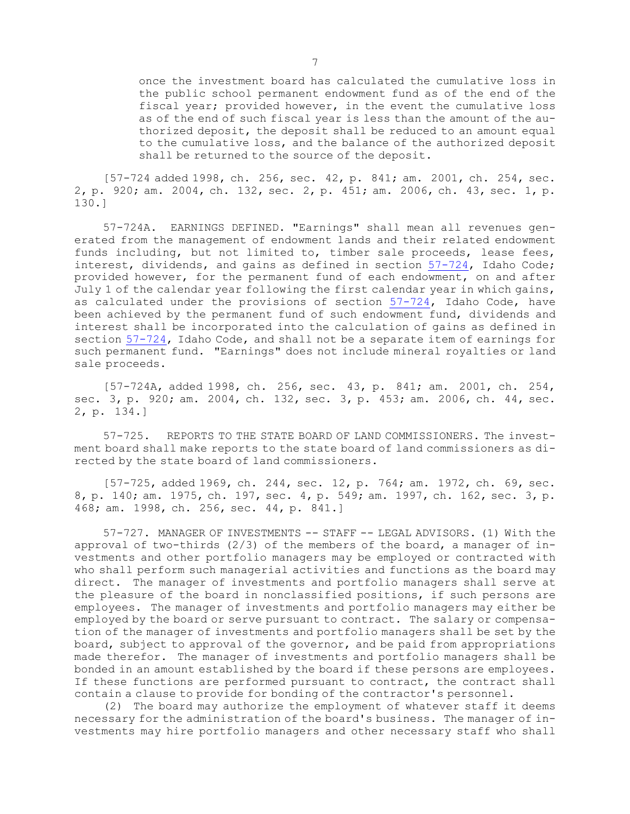once the investment board has calculated the cumulative loss in the public school permanent endowment fund as of the end of the fiscal year; provided however, in the event the cumulative loss as of the end of such fiscal year is less than the amount of the authorized deposit, the deposit shall be reduced to an amount equal to the cumulative loss, and the balance of the authorized deposit shall be returned to the source of the deposit.

[57-724 added 1998, ch. 256, sec. 42, p. 841; am. 2001, ch. 254, sec. 2, p. 920; am. 2004, ch. 132, sec. 2, p. 451; am. 2006, ch. 43, sec. 1, p. 130.]

57-724A. EARNINGS DEFINED. "Earnings" shall mean all revenues generated from the management of endowment lands and their related endowment funds including, but not limited to, timber sale proceeds, lease fees, interest, dividends, and gains as defined in section [57-724](https://legislature.idaho.gov/statutesrules/idstat/Title57/T57CH7/SECT57-724), Idaho Code; provided however, for the permanent fund of each endowment, on and after July 1 of the calendar year following the first calendar year in which gains, as calculated under the provisions of section [57-724](https://legislature.idaho.gov/statutesrules/idstat/Title57/T57CH7/SECT57-724), Idaho Code, have been achieved by the permanent fund of such endowment fund, dividends and interest shall be incorporated into the calculation of gains as defined in section [57-724](https://legislature.idaho.gov/statutesrules/idstat/Title57/T57CH7/SECT57-724), Idaho Code, and shall not be <sup>a</sup> separate item of earnings for such permanent fund. "Earnings" does not include mineral royalties or land sale proceeds.

[57-724A, added 1998, ch. 256, sec. 43, p. 841; am. 2001, ch. 254, sec. 3, p. 920; am. 2004, ch. 132, sec. 3, p. 453; am. 2006, ch. 44, sec. 2, p. 134.]

57-725. REPORTS TO THE STATE BOARD OF LAND COMMISSIONERS. The investment board shall make reports to the state board of land commissioners as directed by the state board of land commissioners.

[57-725, added 1969, ch. 244, sec. 12, p. 764; am. 1972, ch. 69, sec. 8, p. 140; am. 1975, ch. 197, sec. 4, p. 549; am. 1997, ch. 162, sec. 3, p. 468; am. 1998, ch. 256, sec. 44, p. 841.]

57-727. MANAGER OF INVESTMENTS -- STAFF -- LEGAL ADVISORS. (1) With the approval of two-thirds  $(2/3)$  of the members of the board, a manager of investments and other portfolio managers may be employed or contracted with who shall perform such managerial activities and functions as the board may direct. The manager of investments and portfolio managers shall serve at the pleasure of the board in nonclassified positions, if such persons are employees. The manager of investments and portfolio managers may either be employed by the board or serve pursuant to contract. The salary or compensation of the manager of investments and portfolio managers shall be set by the board, subject to approval of the governor, and be paid from appropriations made therefor. The manager of investments and portfolio managers shall be bonded in an amount established by the board if these persons are employees. If these functions are performed pursuant to contract, the contract shall contain <sup>a</sup> clause to provide for bonding of the contractor's personnel.

(2) The board may authorize the employment of whatever staff it deems necessary for the administration of the board's business. The manager of investments may hire portfolio managers and other necessary staff who shall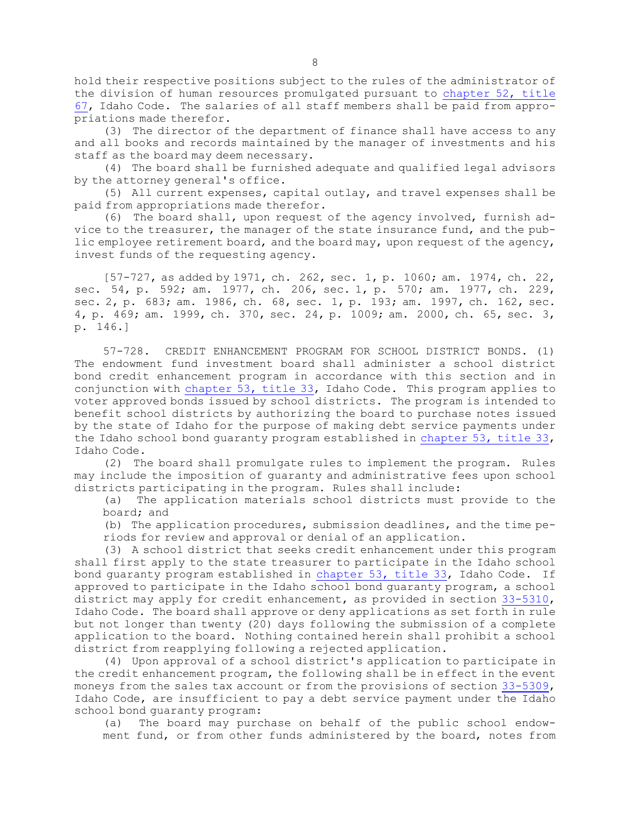hold their respective positions subject to the rules of the administrator of the division of human resources promulgated pursuant to [chapter](https://legislature.idaho.gov/statutesrules/idstat/Title67/T67CH52) 52, title [67](https://legislature.idaho.gov/statutesrules/idstat/Title67/T67CH52), Idaho Code. The salaries of all staff members shall be paid from appropriations made therefor.

(3) The director of the department of finance shall have access to any and all books and records maintained by the manager of investments and his staff as the board may deem necessary.

(4) The board shall be furnished adequate and qualified legal advisors by the attorney general's office.

(5) All current expenses, capital outlay, and travel expenses shall be paid from appropriations made therefor.

(6) The board shall, upon request of the agency involved, furnish advice to the treasurer, the manager of the state insurance fund, and the public employee retirement board, and the board may, upon request of the agency, invest funds of the requesting agency.

[57-727, as added by 1971, ch. 262, sec. 1, p. 1060; am. 1974, ch. 22, sec. 54, p. 592; am. 1977, ch. 206, sec. 1, p. 570; am. 1977, ch. 229, sec. 2, p. 683; am. 1986, ch. 68, sec. 1, p. 193; am. 1997, ch. 162, sec. 4, p. 469; am. 1999, ch. 370, sec. 24, p. 1009; am. 2000, ch. 65, sec. 3, p. 146.]

57-728. CREDIT ENHANCEMENT PROGRAM FOR SCHOOL DISTRICT BONDS. (1) The endowment fund investment board shall administer <sup>a</sup> school district bond credit enhancement program in accordance with this section and in conjunction with [chapter](https://legislature.idaho.gov/statutesrules/idstat/Title33/T33CH53) 53, title 33, Idaho Code. This program applies to voter approved bonds issued by school districts. The program is intended to benefit school districts by authorizing the board to purchase notes issued by the state of Idaho for the purpose of making debt service payments under the Idaho school bond guaranty program established in [chapter](https://legislature.idaho.gov/statutesrules/idstat/Title33/T33CH53) 53, title 33, Idaho Code.

(2) The board shall promulgate rules to implement the program. Rules may include the imposition of guaranty and administrative fees upon school districts participating in the program. Rules shall include:

(a) The application materials school districts must provide to the board; and

(b) The application procedures, submission deadlines, and the time periods for review and approval or denial of an application.

(3) <sup>A</sup> school district that seeks credit enhancement under this program shall first apply to the state treasurer to participate in the Idaho school bond guaranty program established in [chapter](https://legislature.idaho.gov/statutesrules/idstat/Title33/T33CH53) 53, title 33, Idaho Code. If approved to participate in the Idaho school bond guaranty program, <sup>a</sup> school district may apply for credit enhancement, as provided in section [33-5310](https://legislature.idaho.gov/statutesrules/idstat/Title33/T33CH53/SECT33-5310), Idaho Code. The board shall approve or deny applications as set forth in rule but not longer than twenty (20) days following the submission of <sup>a</sup> complete application to the board. Nothing contained herein shall prohibit <sup>a</sup> school district from reapplying following <sup>a</sup> rejected application.

(4) Upon approval of <sup>a</sup> school district's application to participate in the credit enhancement program, the following shall be in effect in the event moneys from the sales tax account or from the provisions of section [33-5309](https://legislature.idaho.gov/statutesrules/idstat/Title33/T33CH53/SECT33-5309), Idaho Code, are insufficient to pay <sup>a</sup> debt service payment under the Idaho school bond guaranty program:

(a) The board may purchase on behalf of the public school endowment fund, or from other funds administered by the board, notes from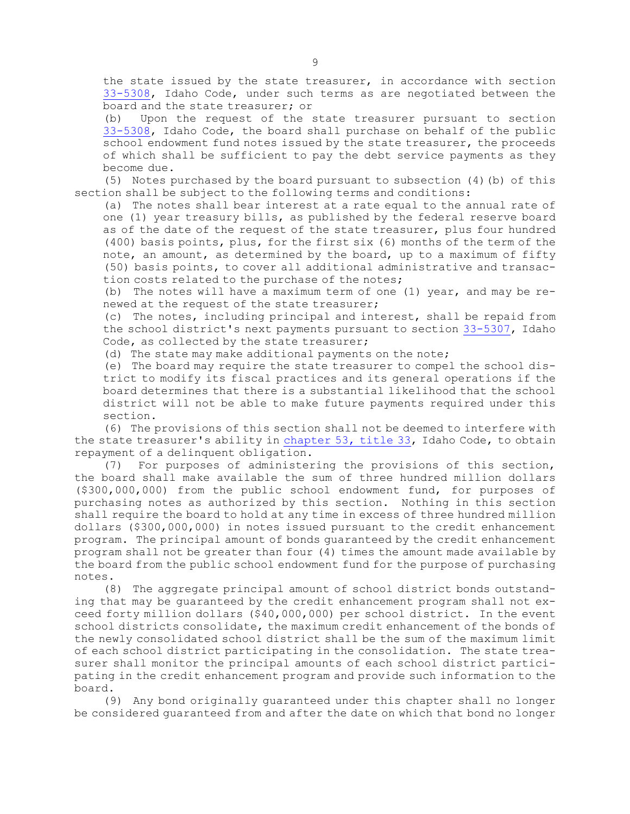the state issued by the state treasurer, in accordance with section [33-5308](https://legislature.idaho.gov/statutesrules/idstat/Title33/T33CH53/SECT33-5308), Idaho Code, under such terms as are negotiated between the board and the state treasurer; or

(b) Upon the request of the state treasurer pursuant to section [33-5308](https://legislature.idaho.gov/statutesrules/idstat/Title33/T33CH53/SECT33-5308), Idaho Code, the board shall purchase on behalf of the public school endowment fund notes issued by the state treasurer, the proceeds of which shall be sufficient to pay the debt service payments as they become due.

(5) Notes purchased by the board pursuant to subsection (4)(b) of this section shall be subject to the following terms and conditions:

(a) The notes shall bear interest at <sup>a</sup> rate equal to the annual rate of one (1) year treasury bills, as published by the federal reserve board as of the date of the request of the state treasurer, plus four hundred (400) basis points, plus, for the first six (6) months of the term of the note, an amount, as determined by the board, up to <sup>a</sup> maximum of fifty (50) basis points, to cover all additional administrative and transaction costs related to the purchase of the notes;

(b) The notes will have <sup>a</sup> maximum term of one (1) year, and may be renewed at the request of the state treasurer;

(c) The notes, including principal and interest, shall be repaid from the school district's next payments pursuant to section [33-5307](https://legislature.idaho.gov/statutesrules/idstat/Title33/T33CH53/SECT33-5307), Idaho Code, as collected by the state treasurer;

(d) The state may make additional payments on the note;

(e) The board may require the state treasurer to compel the school district to modify its fiscal practices and its general operations if the board determines that there is <sup>a</sup> substantial likelihood that the school district will not be able to make future payments required under this section.

(6) The provisions of this section shall not be deemed to interfere with the state treasurer's ability in [chapter](https://legislature.idaho.gov/statutesrules/idstat/Title33/T33CH53) 53, title 33, Idaho Code, to obtain repayment of <sup>a</sup> delinquent obligation.

(7) For purposes of administering the provisions of this section, the board shall make available the sum of three hundred million dollars (\$300,000,000) from the public school endowment fund, for purposes of purchasing notes as authorized by this section. Nothing in this section shall require the board to hold at any time in excess of three hundred million dollars (\$300,000,000) in notes issued pursuant to the credit enhancement program. The principal amount of bonds guaranteed by the credit enhancement program shall not be greater than four (4) times the amount made available by the board from the public school endowment fund for the purpose of purchasing notes.

(8) The aggregate principal amount of school district bonds outstanding that may be guaranteed by the credit enhancement program shall not exceed forty million dollars (\$40,000,000) per school district. In the event school districts consolidate, the maximum credit enhancement of the bonds of the newly consolidated school district shall be the sum of the maximum limit of each school district participating in the consolidation. The state treasurer shall monitor the principal amounts of each school district participating in the credit enhancement program and provide such information to the board.

(9) Any bond originally guaranteed under this chapter shall no longer be considered guaranteed from and after the date on which that bond no longer